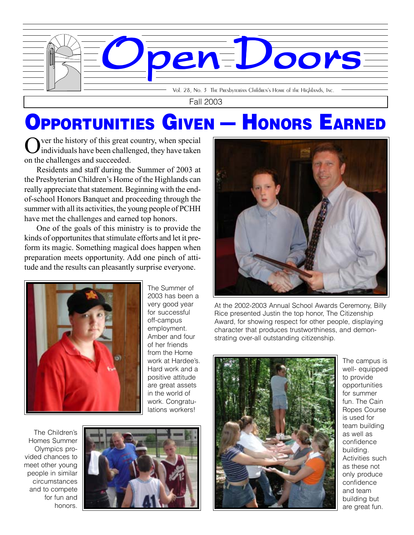

Fall 2003

## OPPORTUNITIES GIVEN — HONORS EARNED

Nuer the history of this great country, when special individuals have been challenged, they have taken on the challenges and succeeded.

Residents and staff during the Summer of 2003 at the Presbyterian Children's Home of the Highlands can really appreciate that statement. Beginning with the endof-school Honors Banquet and proceeding through the summer with all its activities, the young people of PCHH have met the challenges and earned top honors.

One of the goals of this ministry is to provide the kinds of opportunites that stimulate efforts and let it preform its magic. Something magical does happen when preparation meets opportunity. Add one pinch of attitude and the results can pleasantly surprise everyone.



The Summer of 2003 has been a very good year for successful off-campus employment. Amber and four of her friends from the Home work at Hardee's. Hard work and a positive attitude are great assets in the world of work. Congratulations workers!

The Children's Homes Summer Olympics provided chances to meet other young people in similar circumstances and to compete for fun and honors.





At the 2002-2003 Annual School Awards Ceremony, Billy Rice presented Justin the top honor, The Citizenship Award, for showing respect for other people, displaying character that produces trustworthiness, and demonstrating over-all outstanding citizenship.



The campus is well- equipped to provide opportunities for summer fun. The Cain Ropes Course is used for team building as well as confidence building. Activities such as these not only produce confidence and team building but are great fun.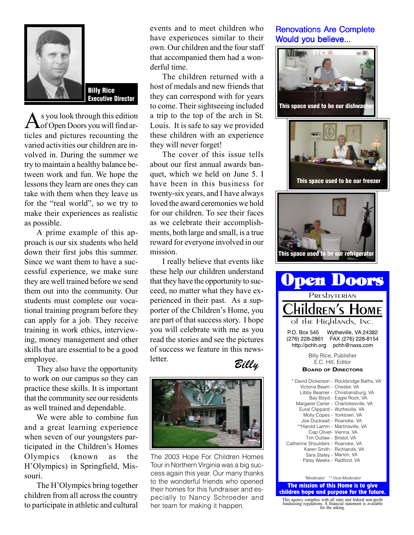

Billy Rice Executive Director

As you look through this edition<br>
of Open Doors you will find articles and pictures recounting the varied activities our children are involved in. During the summer we try to maintain a healthy balance between work and fun. We hope the lessons they learn are ones they can take with them when they leave us for the "real world", so we try to make their experiences as realistic as possible.

A prime example of this approach is our six students who held down their first jobs this summer. Since we want them to have a successful experience, we make sure they are well trained before we send them out into the community. Our students must complete our vocational training program before they can apply for a job. They receive training in work ethics, interviewing, money management and other skills that are essential to be a good employee.

They also have the opportunity to work on our campus so they can practice these skills. It is important that the community see our residents as well trained and dependable.

We were able to combine fun and a great learning experience when seven of our youngsters participated in the Children's Homes Olympics (known as the H'Olympics) in Springfield, Missouri.

The H'Olympics bring together children from all across the country to participate in athletic and cultural

events and to meet children who have experiences similar to their own. Our children and the four staff that accompanied them had a wonderful time.

The children returned with a host of medals and new friends that they can correspond with for years to come. Their sightseeing included a trip to the top of the arch in St. Louis. It is safe to say we provided these children with an experience they will never forget!

The cover of this issue tells about our first annual awards banquet, which we held on June 5. I have been in this business for twenty-six years, and I have always loved the award ceremonies we hold for our children. To see their faces as we celebrate their accomplishments, both large and small, is a true reward for everyone involved in our mission.

I really believe that events like these help our children understand that they have the opportunity to succeed, no matter what they have experienced in their past. As a supporter of the Children's Home, you are part of that success story. I hope you will celebrate with me as you read the stories and see the pictures of success we feature in this newsletter.





The 2003 Hope For Children Homes Tour in Northern Virginia was a big success again this year. Our many thanks to the wonderful friends who opened their homes for this fundraiser and especially to Nancy Schroeder and her team for making it happen.

## **Renovations Are Complete** Would you believe...



*\*Moderator \*\* Vice-Moderator*

Patsy Weeks - Radford, VA

The mission of this Home is to give children hope and purpose for the future.

This agency complies with all state and federal non-profit fundraising regulations. A financial statement is available for the asking.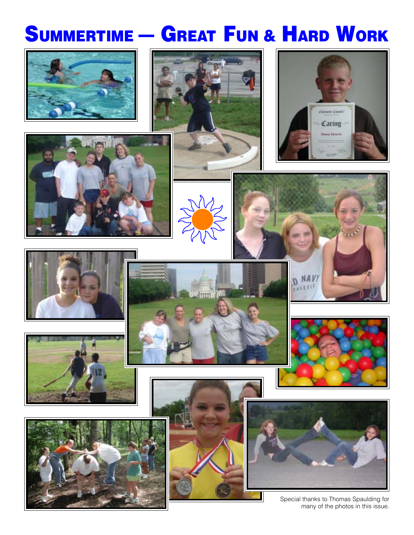## SUMMERTIME - GREAT FUN & HARD WORK

























Special thanks to Thomas Spaulding for many of the photos in this issue.